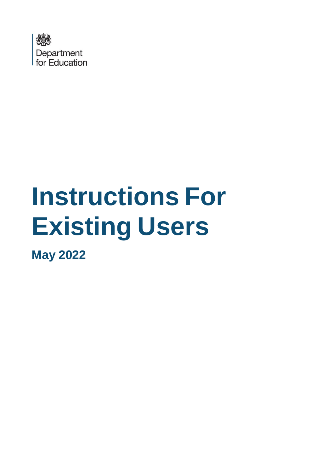

# **Instructions For Existing Users**

**May 2022**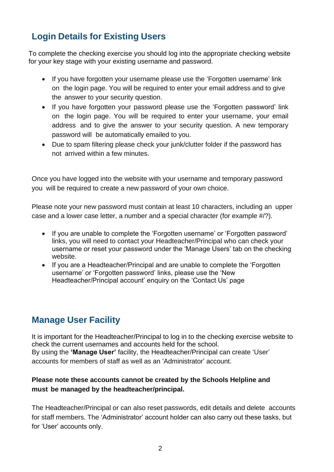## **Login Details for Existing Users**

To complete the checking exercise you should log into the appropriate checking website for your key stage with your existing username and password.

- If you have forgotten your username please use the 'Forgotten username' link on the login page. You will be required to enter your email address and to give the answer to your security question.
- If you have forgotten your password please use the 'Forgotten password' link on the login page. You will be required to enter your username, your email address and to give the answer to your security question. A new temporary password will be automatically emailed to you.
- Due to spam filtering please check your junk/clutter folder if the password has not arrived within a few minutes.

Once you have logged into the website with your username and temporary password you will be required to create a new password of your own choice.

Please note your new password must contain at least 10 characters, including an upper case and a lower case letter, a number and a special character (for example #/?).

- If you are unable to complete the 'Forgotten username' or 'Forgotten password' links, you will need to contact your Headteacher/Principal who can check your username or reset your password under the 'Manage Users' tab on the checking website.
- If you are a Headteacher/Principal and are unable to complete the 'Forgotten username' or 'Forgotten password' links, please use the 'New Headteacher/Principal account' enquiry on the 'Contact Us' page

### **Manage User Facility**

It is important for the Headteacher/Principal to log in to the checking exercise website to check the current usernames and accounts held for the school. By using the **'Manage User'** facility, the Headteacher/Principal can create 'User' accounts for members of staff as well as an 'Administrator' account.

#### **Please note these accounts cannot be created by the Schools Helpline and must be managed by the headteacher/principal.**

The Headteacher/Principal or can also reset passwords, edit details and delete accounts for staff members. The 'Administrator' account holder can also carry out these tasks, but for 'User' accounts only.